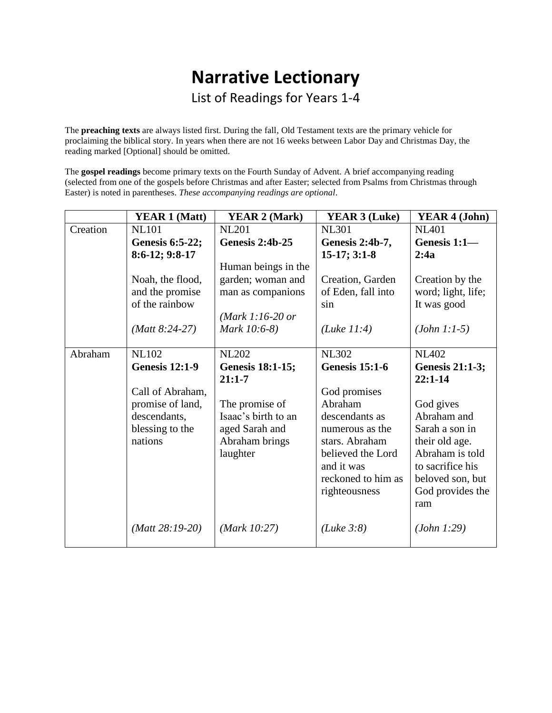# **Narrative Lectionary**

List of Readings for Years 1-4

The **preaching texts** are always listed first. During the fall, Old Testament texts are the primary vehicle for proclaiming the biblical story. In years when there are not 16 weeks between Labor Day and Christmas Day, the reading marked [Optional] should be omitted.

The **gospel readings** become primary texts on the Fourth Sunday of Advent. A brief accompanying reading (selected from one of the gospels before Christmas and after Easter; selected from Psalms from Christmas through Easter) is noted in parentheses. *These accompanying readings are optional*.

|          | <b>YEAR 1 (Matt)</b>   | <b>YEAR 2 (Mark)</b>     | <b>YEAR 3 (Luke)</b>  | <b>YEAR 4 (John)</b> |
|----------|------------------------|--------------------------|-----------------------|----------------------|
| Creation | <b>NL101</b>           | <b>NL201</b>             | <b>NL301</b>          | <b>NL401</b>         |
|          | <b>Genesis 6:5-22;</b> | <b>Genesis 2:4b-25</b>   | Genesis 2:4b-7,       | Genesis 1:1-         |
|          | 8:6-12; 9:8-17         |                          | $15-17; 3:1-8$        | 2:4a                 |
|          |                        | Human beings in the      |                       |                      |
|          | Noah, the flood,       | garden; woman and        | Creation, Garden      | Creation by the      |
|          | and the promise        | man as companions        | of Eden, fall into    | word; light, life;   |
|          | of the rainbow         |                          | sin                   | It was good          |
|          |                        | ( <i>Mark 1:16-20 or</i> |                       |                      |
|          | $(Matt 8:24-27)$       | Mark 10:6-8)             | (Luke 11:4)           | $(John 1:1-5)$       |
|          |                        |                          |                       |                      |
| Abraham  | <b>NL102</b>           | <b>NL202</b>             | <b>NL302</b>          | <b>NL402</b>         |
|          | <b>Genesis 12:1-9</b>  | <b>Genesis 18:1-15;</b>  | <b>Genesis 15:1-6</b> | Genesis 21:1-3;      |
|          |                        | $21:1 - 7$               |                       | $22:1-14$            |
|          | Call of Abraham,       |                          | God promises          |                      |
|          | promise of land,       | The promise of           | Abraham               | God gives            |
|          | descendants,           | Isaac's birth to an      | descendants as        | Abraham and          |
|          | blessing to the        | aged Sarah and           | numerous as the       | Sarah a son in       |
|          | nations                | Abraham brings           | stars. Abraham        | their old age.       |
|          |                        | laughter                 | believed the Lord     | Abraham is told      |
|          |                        |                          | and it was            | to sacrifice his     |
|          |                        |                          | reckoned to him as    | beloved son, but     |
|          |                        |                          | righteousness         | God provides the     |
|          |                        |                          |                       | ram                  |
|          | $(Matt 28:19-20)$      | (Mark 10:27)             | (Luke 3:8)            | (John 1:29)          |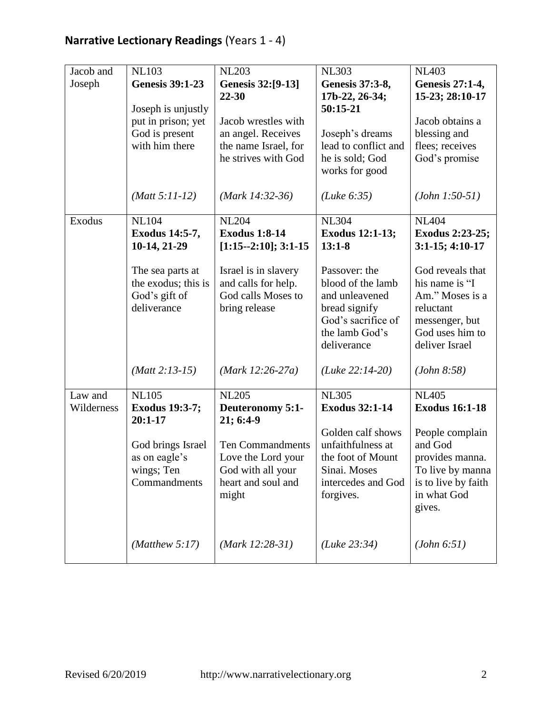| Jacob and             | <b>NL103</b>                                                                 | <b>NL203</b>                                                                                      | <b>NL303</b>                                                                                                                 | <b>NL403</b>                                                                                                              |
|-----------------------|------------------------------------------------------------------------------|---------------------------------------------------------------------------------------------------|------------------------------------------------------------------------------------------------------------------------------|---------------------------------------------------------------------------------------------------------------------------|
| Joseph                | <b>Genesis 39:1-23</b>                                                       | Genesis 32:[9-13]<br>22-30                                                                        | Genesis 37:3-8,<br>17b-22, 26-34;                                                                                            | <b>Genesis 27:1-4,</b><br>15-23; 28:10-17                                                                                 |
|                       | Joseph is unjustly<br>put in prison; yet<br>God is present<br>with him there | Jacob wrestles with<br>an angel. Receives<br>the name Israel, for<br>he strives with God          | 50:15-21<br>Joseph's dreams<br>lead to conflict and<br>he is sold; God<br>works for good                                     | Jacob obtains a<br>blessing and<br>flees; receives<br>God's promise                                                       |
|                       | $(Matt 5:11-12)$                                                             | $(Mark 14:32-36)$                                                                                 | (Luke 6:35)                                                                                                                  | $(John 1:50-51)$                                                                                                          |
| Exodus                | <b>NL104</b><br>Exodus 14:5-7,<br>10-14, 21-29                               | <b>NL204</b><br><b>Exodus 1:8-14</b><br>$[1:15--2:10]; 3:1-15$                                    | <b>NL304</b><br><b>Exodus 12:1-13;</b><br>$13:1-8$                                                                           | <b>NL404</b><br>Exodus 2:23-25;<br>$3:1-15$ ; 4:10-17                                                                     |
|                       | The sea parts at<br>the exodus; this is<br>God's gift of<br>deliverance      | Israel is in slavery<br>and calls for help.<br>God calls Moses to<br>bring release                | Passover: the<br>blood of the lamb<br>and unleavened<br>bread signify<br>God's sacrifice of<br>the lamb God's<br>deliverance | God reveals that<br>his name is "I<br>Am." Moses is a<br>reluctant<br>messenger, but<br>God uses him to<br>deliver Israel |
|                       | $(Matt 2:13-15)$                                                             | ( <i>Mark 12:26-27a</i> )                                                                         | $(Luke 22:14-20)$                                                                                                            | (John 8:58)                                                                                                               |
| Law and<br>Wilderness | <b>NL105</b><br><b>Exodus 19:3-7;</b><br>$20:1-17$                           | <b>NL205</b><br>Deuteronomy 5:1-<br>21; 6:4-9                                                     | <b>NL305</b><br><b>Exodus 32:1-14</b>                                                                                        | <b>NL405</b><br><b>Exodus 16:1-18</b>                                                                                     |
|                       | God brings Israel<br>as on eagle's<br>wings; Ten<br>Commandments             | <b>Ten Commandments</b><br>Love the Lord your<br>God with all your<br>heart and soul and<br>might | Golden calf shows<br>unfaithfulness at<br>the foot of Mount<br>Sinai. Moses<br>intercedes and God<br>forgives.               | People complain<br>and God<br>provides manna.<br>To live by manna<br>is to live by faith<br>in what God<br>gives.         |
|                       | (Matthew $5:17$ )                                                            | $(Mark 12:28-31)$                                                                                 | (Luke 23:34)                                                                                                                 | (John 6:51)                                                                                                               |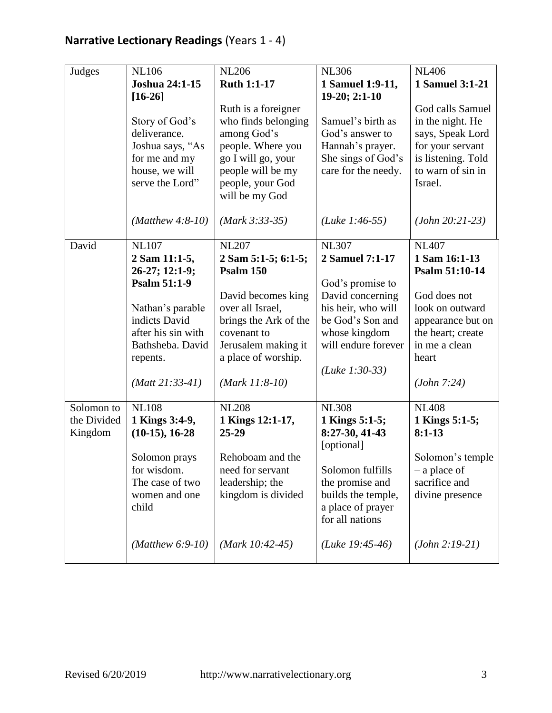| Judges                 | <b>NL106</b><br>Joshua 24:1-15<br>$[16-26]$<br>Story of God's<br>deliverance.<br>Joshua says, "As<br>for me and my                                                                                     | <b>NL206</b><br><b>Ruth 1:1-17</b><br>Ruth is a foreigner<br>who finds belonging<br>among God's<br>people. Where you<br>go I will go, your                                                                                  | <b>NL306</b><br>1 Samuel 1:9-11,<br>19-20; 2:1-10<br>Samuel's birth as<br>God's answer to<br>Hannah's prayer.<br>She sings of God's                                                                  | <b>NL406</b><br>1 Samuel 3:1-21<br>God calls Samuel<br>in the night. He<br>says, Speak Lord<br>for your servant<br>is listening. Told                                                 |
|------------------------|--------------------------------------------------------------------------------------------------------------------------------------------------------------------------------------------------------|-----------------------------------------------------------------------------------------------------------------------------------------------------------------------------------------------------------------------------|------------------------------------------------------------------------------------------------------------------------------------------------------------------------------------------------------|---------------------------------------------------------------------------------------------------------------------------------------------------------------------------------------|
|                        | house, we will<br>serve the Lord"                                                                                                                                                                      | people will be my<br>people, your God<br>will be my God                                                                                                                                                                     | care for the needy.                                                                                                                                                                                  | to warn of sin in<br>Israel.                                                                                                                                                          |
|                        | $(Mat$ hew 4:8-10)                                                                                                                                                                                     | $(Mark 3:33-35)$                                                                                                                                                                                                            | ( <i>Luke 1:46-55</i> )                                                                                                                                                                              | $(John 20:21-23)$                                                                                                                                                                     |
| David<br>Solomon to    | <b>NL107</b><br>2 Sam 11:1-5,<br>26-27; 12:1-9;<br><b>Psalm 51:1-9</b><br>Nathan's parable<br>indicts David<br>after his sin with<br>Bathsheba. David<br>repents.<br>$(Matt 21:33-41)$<br><b>NL108</b> | <b>NL207</b><br>2 Sam 5:1-5; 6:1-5;<br><b>Psalm 150</b><br>David becomes king<br>over all Israel,<br>brings the Ark of the<br>covenant to<br>Jerusalem making it<br>a place of worship.<br>$(Mark 11:8-10)$<br><b>NL208</b> | <b>NL307</b><br>2 Samuel 7:1-17<br>God's promise to<br>David concerning<br>his heir, who will<br>be God's Son and<br>whose kingdom<br>will endure forever<br>( <i>Luke 1:30-33</i> )<br><b>NL308</b> | <b>NL407</b><br>1 Sam 16:1-13<br>Psalm 51:10-14<br>God does not<br>look on outward<br>appearance but on<br>the heart; create<br>in me a clean<br>heart<br>(John 7:24)<br><b>NL408</b> |
| the Divided<br>Kingdom | 1 Kings 3:4-9,<br>$(10-15), 16-28$<br>Solomon prays<br>for wisdom.                                                                                                                                     | 1 Kings 12:1-17,<br>25-29<br>Rehoboam and the<br>need for servant                                                                                                                                                           | 1 Kings 5:1-5;<br>8:27-30, 41-43<br>[optional]<br>Solomon fulfills                                                                                                                                   | 1 Kings 5:1-5;<br>$8:1-13$<br>Solomon's temple<br>– a place of                                                                                                                        |
|                        | The case of two<br>women and one<br>child                                                                                                                                                              | leadership; the<br>kingdom is divided                                                                                                                                                                                       | the promise and<br>builds the temple,<br>a place of prayer<br>for all nations                                                                                                                        | sacrifice and<br>divine presence                                                                                                                                                      |
|                        | (Matthew $6:9-10$ )                                                                                                                                                                                    | $(Mark 10:42-45)$                                                                                                                                                                                                           | (Luke $19:45-46$ )                                                                                                                                                                                   | $(John 2:19-21)$                                                                                                                                                                      |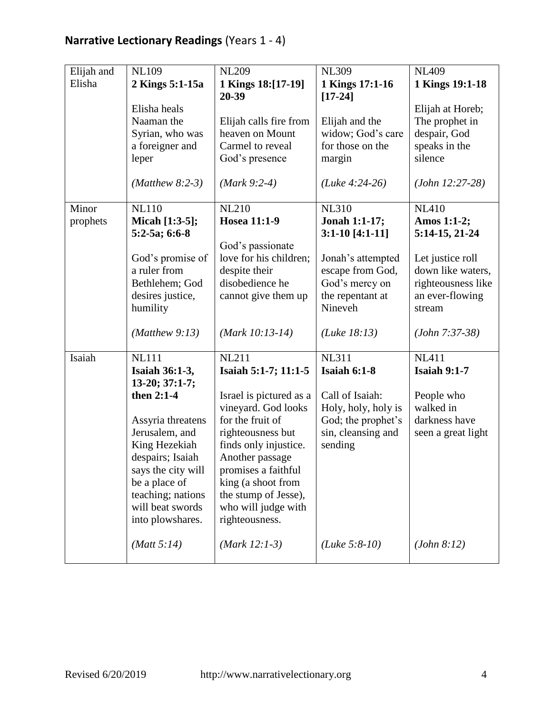| Elijah and | <b>NL109</b>                          | <b>NL209</b>                                | <b>NL309</b>          | <b>NL409</b>                           |
|------------|---------------------------------------|---------------------------------------------|-----------------------|----------------------------------------|
| Elisha     | 2 Kings 5:1-15a                       | 1 Kings 18:[17-19]                          | 1 Kings 17:1-16       | 1 Kings 19:1-18                        |
|            |                                       | 20-39                                       | $[17 - 24]$           |                                        |
|            | Elisha heals                          |                                             |                       | Elijah at Horeb;                       |
|            | Naaman the                            | Elijah calls fire from                      | Elijah and the        | The prophet in                         |
|            | Syrian, who was                       | heaven on Mount                             | widow; God's care     | despair, God                           |
|            | a foreigner and                       | Carmel to reveal                            | for those on the      | speaks in the                          |
|            | leper                                 | God's presence                              | margin                | silence                                |
|            |                                       |                                             |                       |                                        |
|            | $(Mat$ hew 8:2-3)                     | $(Mark 9:2-4)$                              | $(Luke 4:24-26)$      | $(John 12:27-28)$                      |
|            |                                       |                                             |                       |                                        |
| Minor      | <b>NL110</b>                          | <b>NL210</b>                                | <b>NL310</b>          | <b>NL410</b>                           |
| prophets   | Micah [1:3-5];                        | <b>Hosea 11:1-9</b>                         | Jonah 1:1-17;         | Amos 1:1-2;                            |
|            | 5:2-5a; 6:6-8                         | God's passionate                            | $3:1-10$ [4:1-11]     | 5:14-15, 21-24                         |
|            | God's promise of                      | love for his children;                      | Jonah's attempted     | Let justice roll                       |
|            | a ruler from                          | despite their                               | escape from God,      | down like waters,                      |
|            | Bethlehem; God                        | disobedience he                             | God's mercy on        | righteousness like                     |
|            | desires justice,                      | cannot give them up                         | the repentant at      | an ever-flowing                        |
|            | humility                              |                                             | Nineveh               | stream                                 |
|            |                                       |                                             |                       |                                        |
|            | $(Mat$ hew 9:13)                      | $(Mark 10:13-14)$                           | (Luke 18:13)          | $(John 7:37-38)$                       |
|            |                                       |                                             |                       |                                        |
| Isaiah     | <b>NL111</b>                          | <b>NL211</b>                                | <b>NL311</b>          | $\overline{\text{N}}$ L <sub>411</sub> |
|            | <b>Isaiah 36:1-3,</b>                 | Isaiah 5:1-7; 11:1-5                        | <b>Isaiah 6:1-8</b>   | <b>Isaiah 9:1-7</b>                    |
|            | 13-20; 37:1-7;                        |                                             |                       |                                        |
|            | then 2:1-4                            | Israel is pictured as a                     | Call of Isaiah:       | People who                             |
|            |                                       | vineyard. God looks                         | Holy, holy, holy is   | walked in                              |
|            | Assyria threatens                     | for the fruit of                            | God; the prophet's    | darkness have                          |
|            | Jerusalem, and                        | righteousness but                           | sin, cleansing and    | seen a great light                     |
|            | King Hezekiah                         | finds only injustice.                       | sending               |                                        |
|            | despairs; Isaiah                      | Another passage                             |                       |                                        |
|            | says the city will                    | promises a faithful                         |                       |                                        |
|            | be a place of                         | king (a shoot from                          |                       |                                        |
|            | teaching; nations<br>will beat swords | the stump of Jesse),<br>who will judge with |                       |                                        |
|            | into plowshares.                      | righteousness.                              |                       |                                        |
|            |                                       |                                             |                       |                                        |
|            | (Matt 5:14)                           | $(Mark 12:1-3)$                             | ( <i>Luke</i> 5:8-10) | (John 8:12)                            |
|            |                                       |                                             |                       |                                        |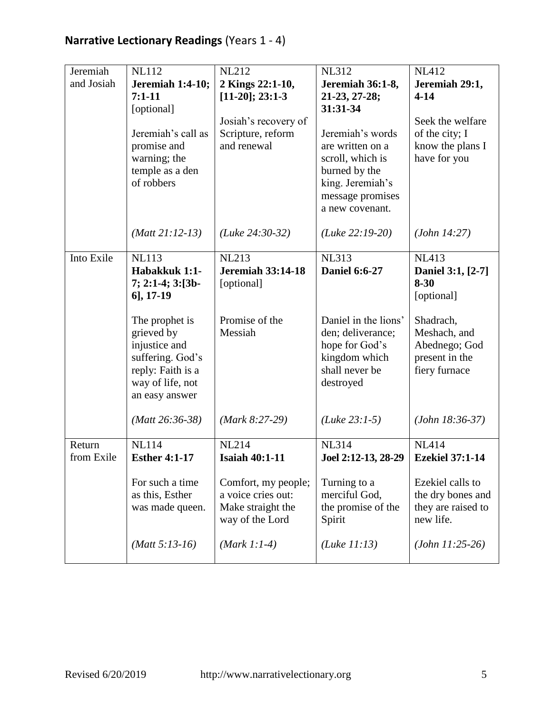| Jeremiah<br>and Josiah | <b>NL112</b><br><b>Jeremiah 1:4-10;</b><br>$7:1-11$<br>[optional]<br>Jeremiah's call as<br>promise and<br>warning; the<br>temple as a den<br>of robbers | <b>NL212</b><br>2 Kings 22:1-10,<br>$[11-20]; 23:1-3$<br>Josiah's recovery of<br>Scripture, reform<br>and renewal | <b>NL312</b><br>Jeremiah 36:1-8,<br>21-23, 27-28;<br>31:31-34<br>Jeremiah's words<br>are written on a<br>scroll, which is<br>burned by the<br>king. Jeremiah's<br>message promises<br>a new covenant. | <b>NL412</b><br>Jeremiah 29:1,<br>$4 - 14$<br>Seek the welfare<br>of the city; I<br>know the plans I<br>have for you |
|------------------------|---------------------------------------------------------------------------------------------------------------------------------------------------------|-------------------------------------------------------------------------------------------------------------------|-------------------------------------------------------------------------------------------------------------------------------------------------------------------------------------------------------|----------------------------------------------------------------------------------------------------------------------|
|                        | $(Matt 21:12-13)$                                                                                                                                       | $(Luke 24:30-32)$                                                                                                 | $(Luke 22:19-20)$                                                                                                                                                                                     | (John 14:27)                                                                                                         |
| Into Exile             | <b>NL113</b><br>Habakkuk 1:1-<br>7; 2:1-4; 3:[3b-<br>$6$ ], 17-19                                                                                       | <b>NL213</b><br><b>Jeremiah 33:14-18</b><br>[optional]<br>Promise of the                                          | <b>NL313</b><br><b>Daniel 6:6-27</b><br>Daniel in the lions'                                                                                                                                          | <b>NL413</b><br>Daniel 3:1, [2-7]<br>$8 - 30$<br>[optional]                                                          |
|                        | The prophet is<br>grieved by<br>injustice and<br>suffering. God's<br>reply: Faith is a<br>way of life, not<br>an easy answer                            | Messiah                                                                                                           | den; deliverance;<br>hope for God's<br>kingdom which<br>shall never be<br>destroyed                                                                                                                   | Shadrach,<br>Meshach, and<br>Abednego; God<br>present in the<br>fiery furnace                                        |
|                        | $(Matt 26:36-38)$                                                                                                                                       | $(Mark 8:27-29)$                                                                                                  | $(Luke 23:1-5)$                                                                                                                                                                                       | $(John 18:36-37)$                                                                                                    |
| Return<br>from Exile   | <b>NL114</b><br><b>Esther 4:1-17</b>                                                                                                                    | <b>NL214</b><br><b>Isaiah 40:1-11</b>                                                                             | <b>NL314</b><br>Joel 2:12-13, 28-29                                                                                                                                                                   | <b>NL414</b><br><b>Ezekiel 37:1-14</b>                                                                               |
|                        | For such a time<br>as this, Esther<br>was made queen.                                                                                                   | Comfort, my people;<br>a voice cries out:<br>Make straight the                                                    | Turning to a<br>merciful God,<br>the promise of the                                                                                                                                                   | Ezekiel calls to<br>the dry bones and<br>they are raised to                                                          |

*(Matt 5:13-16)*

way of the Lord

Spirit

*(Luke 11:13)*

*(Mark 1:1-4)*

new life.

*(John 11:25-26)*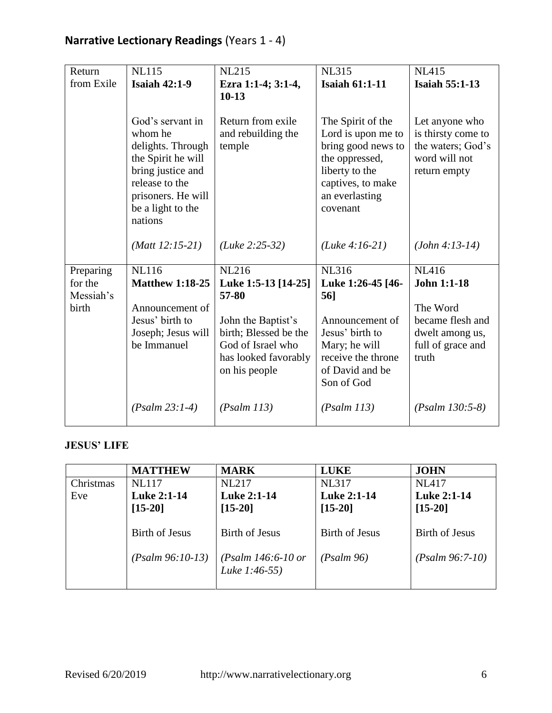| Return                                     | <b>NL115</b>                                                                                                                                                        | <b>NL215</b>                                                                                              | <b>NL315</b>                                                                                                                                         | <b>NL415</b>                                                                               |
|--------------------------------------------|---------------------------------------------------------------------------------------------------------------------------------------------------------------------|-----------------------------------------------------------------------------------------------------------|------------------------------------------------------------------------------------------------------------------------------------------------------|--------------------------------------------------------------------------------------------|
| from Exile                                 | <b>Isaiah 42:1-9</b>                                                                                                                                                | Ezra 1:1-4; 3:1-4,<br>$10-13$                                                                             | <b>Isaiah 61:1-11</b>                                                                                                                                | <b>Isaiah 55:1-13</b>                                                                      |
|                                            | God's servant in<br>whom he<br>delights. Through<br>the Spirit he will<br>bring justice and<br>release to the<br>prisoners. He will<br>be a light to the<br>nations | Return from exile<br>and rebuilding the<br>temple                                                         | The Spirit of the<br>Lord is upon me to<br>bring good news to<br>the oppressed,<br>liberty to the<br>captives, to make<br>an everlasting<br>covenant | Let anyone who<br>is thirsty come to<br>the waters; God's<br>word will not<br>return empty |
|                                            | $(Matt 12:15-21)$                                                                                                                                                   | $(Luke 2:25-32)$                                                                                          | $(Luke 4:16-21)$                                                                                                                                     | $(John 4:13-14)$                                                                           |
| Preparing<br>for the<br>Messiah's<br>birth | <b>NL116</b><br><b>Matthew 1:18-25</b><br>Announcement of                                                                                                           | <b>NL216</b><br>Luke 1:5-13 [14-25]<br>57-80                                                              | <b>NL316</b><br>Luke 1:26-45 [46-<br>56]                                                                                                             | <b>NL416</b><br><b>John 1:1-18</b><br>The Word                                             |
|                                            | Jesus' birth to<br>Joseph; Jesus will<br>be Immanuel                                                                                                                | John the Baptist's<br>birth; Blessed be the<br>God of Israel who<br>has looked favorably<br>on his people | Announcement of<br>Jesus' birth to<br>Mary; he will<br>receive the throne<br>of David and be<br>Son of God                                           | became flesh and<br>dwelt among us,<br>full of grace and<br>truth                          |
|                                            | $(Psalm 23:1-4)$                                                                                                                                                    | (Psalm 113)                                                                                               | (Psalm 113)                                                                                                                                          | $(Psalm 130:5-8)$                                                                          |

#### **JESUS' LIFE**

|           | <b>MATTHEW</b>                              | <b>MARK</b>                                           | <b>LUKE</b>                         | <b>JOHN</b>                         |
|-----------|---------------------------------------------|-------------------------------------------------------|-------------------------------------|-------------------------------------|
| Christmas | <b>NL117</b>                                | <b>NL217</b>                                          | <b>NL317</b>                        | <b>NL417</b>                        |
| Eve       | <b>Luke 2:1-14</b>                          | <b>Luke 2:1-14</b>                                    | <b>Luke 2:1-14</b>                  | <b>Luke 2:1-14</b>                  |
|           | $[15-20]$                                   | $[15-20]$                                             | $[15-20]$                           | $[15-20]$                           |
|           | <b>Birth of Jesus</b><br>$(Psalm 96:10-13)$ | Birth of Jesus<br>(Psalm 146:6-10 or<br>Luke 1:46-55) | <b>Birth of Jesus</b><br>(Psalm 96) | Birth of Jesus<br>$(Psalm 96:7-10)$ |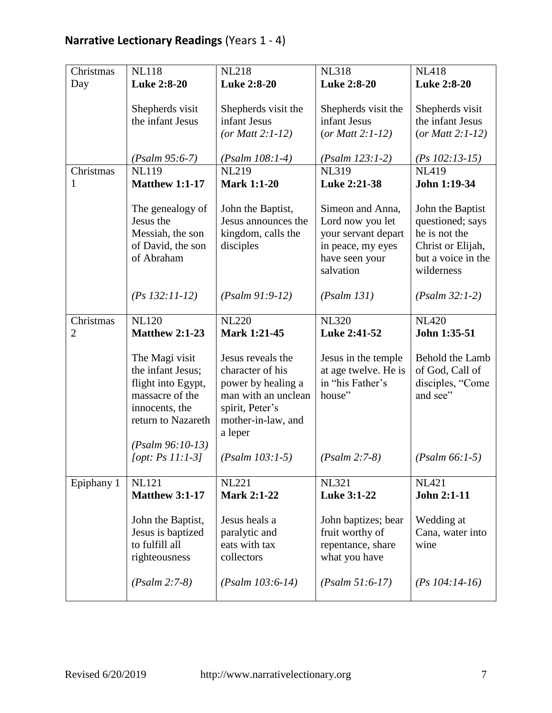| Christmas                   | <b>NL118</b>                                                                                                                               | <b>NL218</b>                                                                                                                           | <b>NL318</b>                                                                                                    | <b>NL418</b>                                                                                                   |
|-----------------------------|--------------------------------------------------------------------------------------------------------------------------------------------|----------------------------------------------------------------------------------------------------------------------------------------|-----------------------------------------------------------------------------------------------------------------|----------------------------------------------------------------------------------------------------------------|
| Day                         | <b>Luke 2:8-20</b>                                                                                                                         | <b>Luke 2:8-20</b>                                                                                                                     | <b>Luke 2:8-20</b>                                                                                              | <b>Luke 2:8-20</b>                                                                                             |
|                             | Shepherds visit<br>the infant Jesus                                                                                                        | Shepherds visit the<br>infant Jesus<br>(or Matt $2:1-12$ )                                                                             | Shepherds visit the<br>infant Jesus<br>(or Matt $2:1-12$ )                                                      | Shepherds visit<br>the infant Jesus<br>(or Matt $2:1-12$ )                                                     |
|                             | $(Psalm 95:6-7)$                                                                                                                           | $(Psalm 108:1-4)$                                                                                                                      | $(Psalm 123:1-2)$                                                                                               | $(Ps\ 102:13-15)$                                                                                              |
| Christmas<br>1              | <b>NL119</b><br><b>Matthew 1:1-17</b>                                                                                                      | <b>NL219</b><br><b>Mark 1:1-20</b>                                                                                                     | <b>NL319</b><br>Luke 2:21-38                                                                                    | <b>NL419</b><br>John 1:19-34                                                                                   |
|                             | The genealogy of<br>Jesus the<br>Messiah, the son<br>of David, the son<br>of Abraham                                                       | John the Baptist,<br>Jesus announces the<br>kingdom, calls the<br>disciples                                                            | Simeon and Anna,<br>Lord now you let<br>your servant depart<br>in peace, my eyes<br>have seen your<br>salvation | John the Baptist<br>questioned; says<br>he is not the<br>Christ or Elijah,<br>but a voice in the<br>wilderness |
|                             | $(Ps 132:11-12)$                                                                                                                           | $(Psalm 91:9-12)$                                                                                                                      | (Psalm 131)                                                                                                     | $(Psalm 32:1-2)$                                                                                               |
| Christmas<br>$\overline{2}$ | <b>NL120</b><br><b>Matthew 2:1-23</b>                                                                                                      | <b>NL220</b><br>Mark 1:21-45                                                                                                           | <b>NL320</b><br>Luke 2:41-52                                                                                    | <b>NL420</b><br>John 1:35-51                                                                                   |
|                             | The Magi visit<br>the infant Jesus;<br>flight into Egypt,<br>massacre of the<br>innocents, the<br>return to Nazareth<br>$(Psalm 96:10-13)$ | Jesus reveals the<br>character of his<br>power by healing a<br>man with an unclean<br>spirit, Peter's<br>mother-in-law, and<br>a leper | Jesus in the temple<br>at age twelve. He is<br>in "his Father's<br>house"                                       | Behold the Lamb<br>of God, Call of<br>disciples, "Come<br>and see"                                             |
|                             | [opt: $Ps 11:1-31$ ]                                                                                                                       | $(Psalm 103:1-5)$                                                                                                                      | $(Psalm 2:7-8)$                                                                                                 | $(Psalm 66:1-5)$                                                                                               |
| Epiphany 1                  | <b>NL121</b><br><b>Matthew 3:1-17</b>                                                                                                      | <b>NL221</b><br><b>Mark 2:1-22</b>                                                                                                     | <b>NL321</b><br>Luke 3:1-22                                                                                     | <b>NL421</b><br>John 2:1-11                                                                                    |
|                             | John the Baptist,<br>Jesus is baptized<br>to fulfill all<br>righteousness                                                                  | Jesus heals a<br>paralytic and<br>eats with tax<br>collectors                                                                          | John baptizes; bear<br>fruit worthy of<br>repentance, share<br>what you have                                    | Wedding at<br>Cana, water into<br>wine                                                                         |
|                             | $(Psalm 2:7-8)$                                                                                                                            | $(Psalm 103:6-14)$                                                                                                                     | $(Psalm 51:6-17)$                                                                                               | $(Ps 104:14-16)$                                                                                               |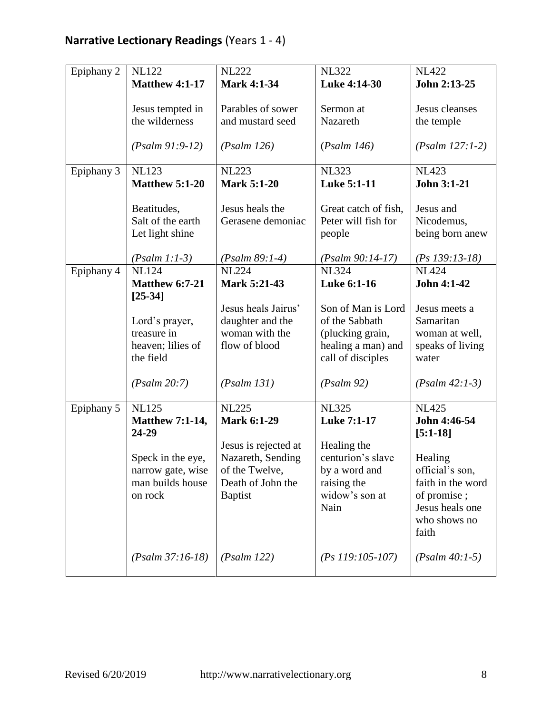| Epiphany 2 | <b>NL122</b>                                                           | <b>NL222</b>                                                               | <b>NL322</b>                                                                                        | <b>NL422</b>                                                                                               |
|------------|------------------------------------------------------------------------|----------------------------------------------------------------------------|-----------------------------------------------------------------------------------------------------|------------------------------------------------------------------------------------------------------------|
|            | <b>Matthew 4:1-17</b>                                                  | <b>Mark 4:1-34</b>                                                         | Luke 4:14-30                                                                                        | John 2:13-25                                                                                               |
|            | Jesus tempted in<br>the wilderness                                     | Parables of sower<br>and mustard seed                                      | Sermon at<br>Nazareth                                                                               | Jesus cleanses<br>the temple                                                                               |
|            | $(Psalm 91:9-12)$                                                      | (Psalm 126)                                                                | (Psalm 146)                                                                                         | $(Psalm 127:1-2)$                                                                                          |
| Epiphany 3 | <b>NL123</b><br><b>Matthew 5:1-20</b>                                  | <b>NL223</b><br><b>Mark 5:1-20</b>                                         | <b>NL323</b><br><b>Luke 5:1-11</b>                                                                  | <b>NL423</b><br>John 3:1-21                                                                                |
|            | Beatitudes,<br>Salt of the earth<br>Let light shine<br>$(Psalm 1:1-3)$ | Jesus heals the<br>Gerasene demoniac<br>$(Psalm 89:1-4)$                   | Great catch of fish,<br>Peter will fish for<br>people<br>$(Psalm 90:14-17)$                         | Jesus and<br>Nicodemus,<br>being born anew<br>$(Ps 139:13-18)$                                             |
| Epiphany 4 | <b>NL124</b>                                                           | <b>NL224</b>                                                               | <b>NL324</b>                                                                                        | <b>NL424</b>                                                                                               |
|            | <b>Matthew 6:7-21</b><br>$[25-34]$                                     | Mark 5:21-43                                                               | <b>Luke 6:1-16</b>                                                                                  | John 4:1-42                                                                                                |
|            | Lord's prayer,<br>treasure in<br>heaven; lilies of<br>the field        | Jesus heals Jairus'<br>daughter and the<br>woman with the<br>flow of blood | Son of Man is Lord<br>of the Sabbath<br>(plucking grain,<br>healing a man) and<br>call of disciples | Jesus meets a<br>Samaritan<br>woman at well,<br>speaks of living<br>water                                  |
|            | (Psalm 20:7)                                                           | (Psalm 131)                                                                | (Psalm 92)                                                                                          | $(Psalm 42:1-3)$                                                                                           |
| Epiphany 5 | <b>NL125</b><br><b>Matthew 7:1-14,</b><br>24-29                        | <b>NL225</b><br><b>Mark 6:1-29</b><br>Jesus is rejected at                 | <b>NL325</b><br>Luke 7:1-17<br>Healing the                                                          | <b>NL425</b><br>John 4:46-54<br>$[5:1-18]$                                                                 |
|            | Speck in the eye,<br>narrow gate, wise<br>man builds house<br>on rock  | Nazareth, Sending<br>of the Twelve,<br>Death of John the<br><b>Baptist</b> | centurion's slave<br>by a word and<br>raising the<br>widow's son at<br>Nain                         | Healing<br>official's son,<br>faith in the word<br>of promise;<br>Jesus heals one<br>who shows no<br>faith |
|            | $(Psalm 37:16-18)$                                                     | (Psalm 122)                                                                | $(Ps 119:105-107)$                                                                                  | $(Psalm 40:1-5)$                                                                                           |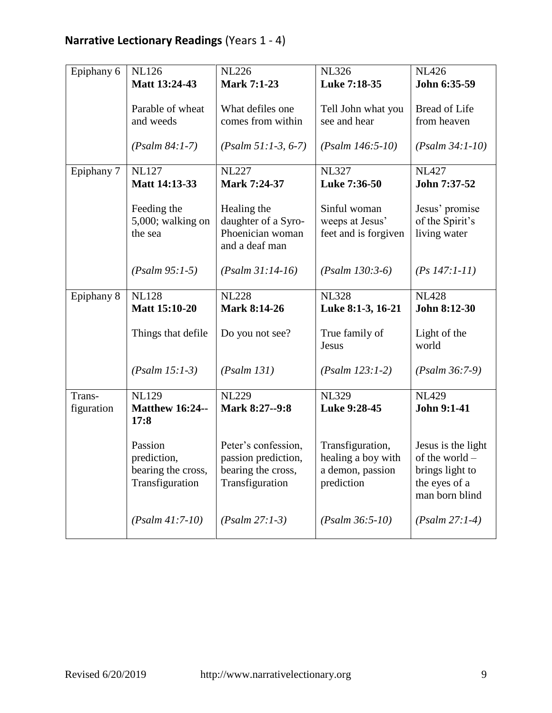| Epiphany 6 | <b>NL126</b>                   | <b>NL226</b>                       | <b>NL326</b>         | <b>NL426</b>       |
|------------|--------------------------------|------------------------------------|----------------------|--------------------|
|            | Matt 13:24-43                  | <b>Mark 7:1-23</b>                 | Luke 7:18-35         | John 6:35-59       |
|            |                                |                                    |                      |                    |
|            | Parable of wheat               | What defiles one                   | Tell John what you   | Bread of Life      |
|            | and weeds                      | comes from within                  | see and hear         | from heaven        |
|            |                                |                                    |                      |                    |
|            | $(Psalm 84:1-7)$               | $(Psalm 51:1-3, 6-7)$              | $(Psalm 146:5-10)$   | $(Psalm 34:1-10)$  |
| Epiphany 7 | <b>NL127</b>                   | <b>NL227</b>                       | <b>NL327</b>         | <b>NL427</b>       |
|            | Matt 14:13-33                  | Mark 7:24-37                       | Luke 7:36-50         | John 7:37-52       |
|            |                                |                                    |                      |                    |
|            | Feeding the                    | Healing the                        | Sinful woman         | Jesus' promise     |
|            | 5,000; walking on              | daughter of a Syro-                | weeps at Jesus'      | of the Spirit's    |
|            | the sea                        | Phoenician woman<br>and a deaf man | feet and is forgiven | living water       |
|            |                                |                                    |                      |                    |
|            | $(Psalm 95:1-5)$               | $(Psalm 31:14-16)$                 | $(Psalm 130:3-6)$    | $(Ps 147:1-11)$    |
|            |                                |                                    |                      |                    |
| Epiphany 8 | <b>NL128</b>                   | <b>NL228</b>                       | <b>NL328</b>         | <b>NL428</b>       |
|            | <b>Matt 15:10-20</b>           | Mark 8:14-26                       | Luke 8:1-3, 16-21    | John 8:12-30       |
|            | Things that defile             | Do you not see?                    | True family of       | Light of the       |
|            |                                |                                    | Jesus                | world              |
|            |                                |                                    |                      |                    |
|            | $(Psalm 15:1-3)$               | (Psalm 131)                        | $(Psalm 123:1-2)$    | $(Psalm 36:7-9)$   |
|            |                                |                                    |                      |                    |
| Trans-     | <b>NL129</b>                   | <b>NL229</b>                       | <b>NL329</b>         | <b>NL429</b>       |
| figuration | <b>Matthew 16:24--</b><br>17:8 | Mark 8:27--9:8                     | Luke 9:28-45         | John 9:1-41        |
|            |                                |                                    |                      |                    |
|            | Passion                        | Peter's confession,                | Transfiguration,     | Jesus is the light |
|            | prediction,                    | passion prediction,                | healing a boy with   | of the world -     |
|            | bearing the cross,             | bearing the cross,                 | a demon, passion     | brings light to    |
|            | Transfiguration                | Transfiguration                    | prediction           | the eyes of a      |
|            |                                |                                    |                      | man born blind     |
|            |                                |                                    |                      |                    |
|            | $(Psalm 41:7-10)$              | $(Psalm 27:1-3)$                   | $(Psalm 36:5-10)$    | $(Psalm 27:1-4)$   |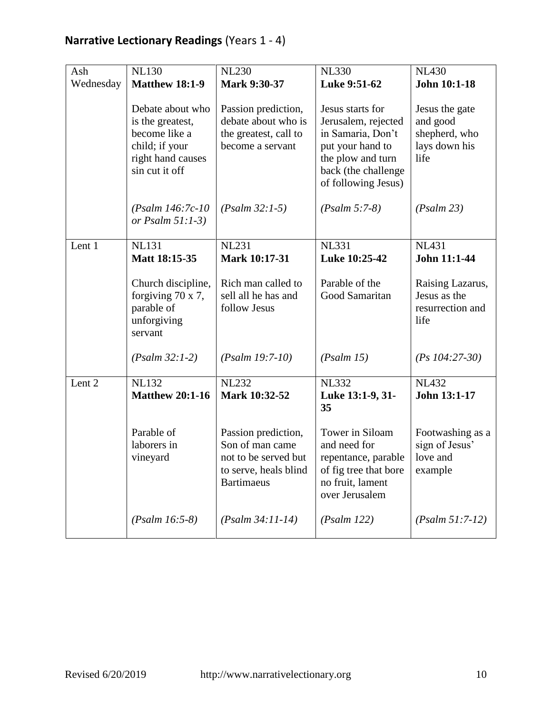| Ash               | <b>NL130</b>                                                                                                   | <b>NL230</b>                                                                                                 | <b>NL330</b>                                                                                                                                        | <b>NL430</b>                                                         |
|-------------------|----------------------------------------------------------------------------------------------------------------|--------------------------------------------------------------------------------------------------------------|-----------------------------------------------------------------------------------------------------------------------------------------------------|----------------------------------------------------------------------|
|                   |                                                                                                                |                                                                                                              |                                                                                                                                                     |                                                                      |
| Wednesday         | <b>Matthew 18:1-9</b>                                                                                          | <b>Mark 9:30-37</b>                                                                                          | Luke 9:51-62                                                                                                                                        | John 10:1-18                                                         |
|                   | Debate about who<br>is the greatest,<br>become like a<br>child; if your<br>right hand causes<br>sin cut it off | Passion prediction,<br>debate about who is<br>the greatest, call to<br>become a servant                      | Jesus starts for<br>Jerusalem, rejected<br>in Samaria, Don't<br>put your hand to<br>the plow and turn<br>back (the challenge<br>of following Jesus) | Jesus the gate<br>and good<br>shepherd, who<br>lays down his<br>life |
|                   | $(Psalm 146:7c-10)$<br>or Psalm $51:1-3$ )                                                                     | $(Psalm 32:1-5)$                                                                                             | $(Psalm 5:7-8)$                                                                                                                                     | (Psalm 23)                                                           |
| Lent 1            | <b>NL131</b><br>Matt 18:15-35                                                                                  | <b>NL231</b><br><b>Mark 10:17-31</b>                                                                         | <b>NL331</b><br>Luke 10:25-42                                                                                                                       | <b>NL431</b><br>John 11:1-44                                         |
|                   | Church discipline,<br>forgiving $70 \times 7$ ,<br>parable of<br>unforgiving<br>servant                        | Rich man called to<br>sell all he has and<br>follow Jesus                                                    | Parable of the<br>Good Samaritan                                                                                                                    | Raising Lazarus,<br>Jesus as the<br>resurrection and<br>life         |
|                   | $(Psalm 32:1-2)$                                                                                               | $(Psalm 19:7-10)$                                                                                            | (Psalm 15)                                                                                                                                          | $(Ps\ 104:27-30)$                                                    |
| Lent <sub>2</sub> | <b>NL132</b><br><b>Matthew 20:1-16</b>                                                                         | <b>NL232</b><br>Mark 10:32-52                                                                                | <b>NL332</b><br>Luke 13:1-9, 31-<br>35                                                                                                              | <b>NL432</b><br>John 13:1-17                                         |
|                   | Parable of<br>laborers in<br>vineyard                                                                          | Passion prediction,<br>Son of man came<br>not to be served but<br>to serve, heals blind<br><b>Bartimaeus</b> | Tower in Siloam<br>and need for<br>repentance, parable<br>of fig tree that bore<br>no fruit, lament<br>over Jerusalem                               | Footwashing as a<br>sign of Jesus'<br>love and<br>example            |
|                   | $(Psalm 16:5-8)$                                                                                               | $(Psalm 34:11-14)$                                                                                           | (Psalm 122)                                                                                                                                         | $(Psalm 51:7-12)$                                                    |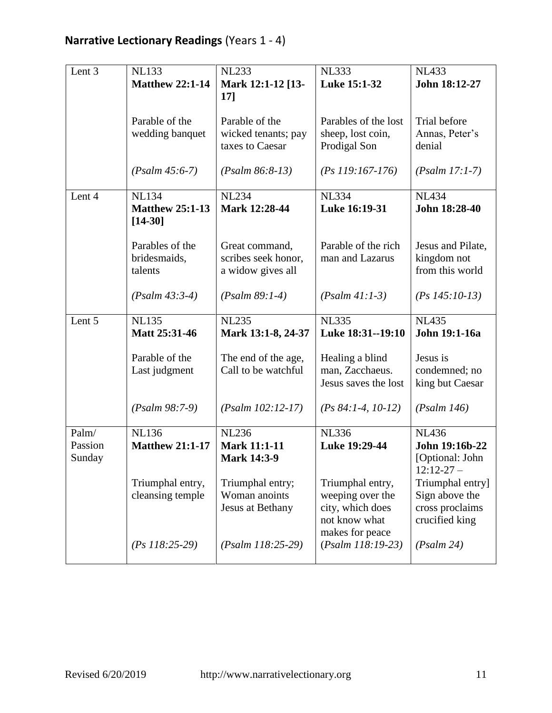| Lent 3  | <b>NL133</b>                  | <b>NL233</b>                       | <b>NL333</b>                           | <b>NL433</b>                  |
|---------|-------------------------------|------------------------------------|----------------------------------------|-------------------------------|
|         | <b>Matthew 22:1-14</b>        | Mark 12:1-12 [13-                  | Luke 15:1-32                           | John 18:12-27                 |
|         |                               | <b>17]</b>                         |                                        |                               |
|         |                               |                                    |                                        |                               |
|         | Parable of the                | Parable of the                     | Parables of the lost                   | Trial before                  |
|         | wedding banquet               | wicked tenants; pay                | sheep, lost coin,                      | Annas, Peter's                |
|         |                               | taxes to Caesar                    | Prodigal Son                           | denial                        |
|         |                               |                                    |                                        |                               |
|         | $(Psalm 45:6-7)$              | $(Psalm 86:8-13)$                  | $(Ps 119:167-176)$                     | $(Psalm 17:1-7)$              |
| Lent 4  | <b>NL134</b>                  | <b>NL234</b>                       | <b>NL334</b>                           | <b>NL434</b>                  |
|         | <b>Matthew 25:1-13</b>        | Mark 12:28-44                      | Luke 16:19-31                          | John 18:28-40                 |
|         | $[14-30]$                     |                                    |                                        |                               |
|         |                               |                                    |                                        |                               |
|         | Parables of the               | Great command,                     | Parable of the rich                    | Jesus and Pilate,             |
|         | bridesmaids,                  | scribes seek honor,                | man and Lazarus                        | kingdom not                   |
|         | talents                       | a widow gives all                  |                                        | from this world               |
|         |                               |                                    |                                        |                               |
|         | $(Psalm 43:3-4)$              | $(Psalm 89:1-4)$                   | $(Psalm 41:1-3)$                       | $(Ps 145:10-13)$              |
|         |                               |                                    |                                        |                               |
|         |                               |                                    |                                        |                               |
| Lent 5  | <b>NL135</b><br>Matt 25:31-46 | <b>NL235</b><br>Mark 13:1-8, 24-37 | <b>NL335</b><br>Luke 18:31--19:10      | <b>NL435</b><br>John 19:1-16a |
|         |                               |                                    |                                        |                               |
|         | Parable of the                | The end of the age,                | Healing a blind                        | Jesus is                      |
|         | Last judgment                 | Call to be watchful                | man, Zacchaeus.                        | condemned; no                 |
|         |                               |                                    | Jesus saves the lost                   | king but Caesar               |
|         |                               |                                    |                                        |                               |
|         | $(Psalm 98:7-9)$              | $(Psalm 102:12-17)$                | $(Ps 84:1-4, 10-12)$                   | (Psalm 146)                   |
| Palm/   | <b>NL136</b>                  | <b>NL236</b>                       | <b>NL336</b>                           | <b>NL436</b>                  |
| Passion | <b>Matthew 21:1-17</b>        | <b>Mark 11:1-11</b>                | Luke 19:29-44                          | John 19:16b-22                |
| Sunday  |                               | <b>Mark 14:3-9</b>                 |                                        | [Optional: John               |
|         |                               |                                    |                                        | $12:12-27-$                   |
|         | Triumphal entry,              | Triumphal entry;                   | Triumphal entry,                       | Triumphal entry]              |
|         | cleansing temple              | Woman anoints                      | weeping over the                       | Sign above the                |
|         |                               | Jesus at Bethany                   | city, which does                       | cross proclaims               |
|         |                               |                                    | not know what                          | crucified king                |
|         | $(Ps\ 118:25-29)$             | $(Psalm 118:25-29)$                | makes for peace<br>$(Psalm 118:19-23)$ | (Psalm 24)                    |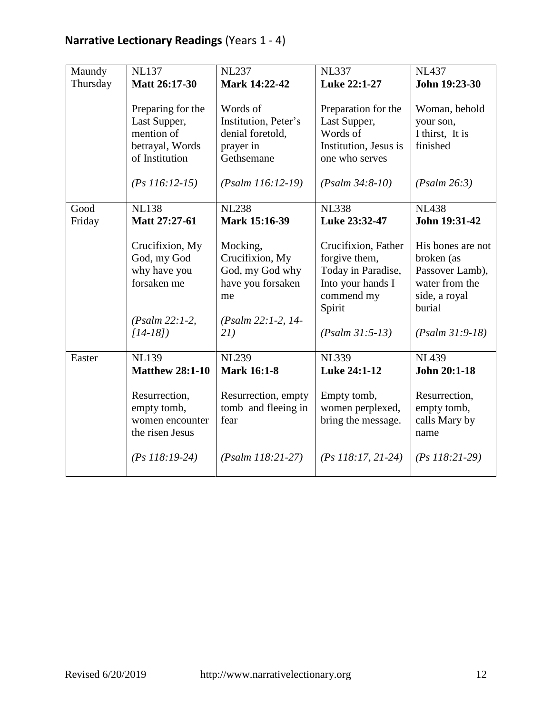| Maundy         | <b>NL137</b>                                                                         | <b>NL237</b>                                                                                    | <b>NL337</b>                                                                                            | <b>NL437</b>                                                                                    |
|----------------|--------------------------------------------------------------------------------------|-------------------------------------------------------------------------------------------------|---------------------------------------------------------------------------------------------------------|-------------------------------------------------------------------------------------------------|
| Thursday       | Matt 26:17-30                                                                        | Mark 14:22-42                                                                                   | Luke 22:1-27                                                                                            | John 19:23-30                                                                                   |
|                | Preparing for the<br>Last Supper,<br>mention of<br>betrayal, Words<br>of Institution | Words of<br>Institution, Peter's<br>denial foretold,<br>prayer in<br>Gethsemane                 | Preparation for the<br>Last Supper,<br>Words of<br>Institution, Jesus is<br>one who serves              | Woman, behold<br>your son,<br>I thirst, It is<br>finished                                       |
|                | $(Ps 116:12-15)$                                                                     | $(Psalm 116:12-19)$                                                                             | $(Psalm 34:8-10)$                                                                                       | (Psalm 26:3)                                                                                    |
| Good<br>Friday | <b>NL138</b><br>Matt 27:27-61                                                        | <b>NL238</b><br>Mark 15:16-39                                                                   | <b>NL338</b><br>Luke 23:32-47                                                                           | <b>NL438</b><br>John 19:31-42                                                                   |
|                | Crucifixion, My<br>God, my God<br>why have you<br>forsaken me<br>$(Psalm 22:1-2,$    | Mocking,<br>Crucifixion, My<br>God, my God why<br>have you forsaken<br>me<br>(Psalm 22:1-2, 14- | Crucifixion, Father<br>forgive them,<br>Today in Paradise,<br>Into your hands I<br>commend my<br>Spirit | His bones are not<br>broken (as<br>Passover Lamb),<br>water from the<br>side, a royal<br>burial |
|                | $[14-18]$                                                                            | 21)                                                                                             | $(Psalm 31:5-13)$                                                                                       | $(Psalm 31:9-18)$                                                                               |
| Easter         | <b>NL139</b><br><b>Matthew 28:1-10</b><br>Resurrection,<br>empty tomb,               | <b>NL239</b><br><b>Mark 16:1-8</b><br>Resurrection, empty<br>tomb and fleeing in                | <b>NL339</b><br>Luke 24:1-12<br>Empty tomb,<br>women perplexed,                                         | <b>NL439</b><br>John 20:1-18<br>Resurrection,<br>empty tomb,                                    |
|                | women encounter<br>the risen Jesus<br>$(Ps 118:19-24)$                               | fear<br>$(Psalm 118:21-27)$                                                                     | bring the message.<br>$(Ps\ 118:17, 21-24)$                                                             | calls Mary by<br>name<br>$(Ps\ 118:21-29)$                                                      |
|                |                                                                                      |                                                                                                 |                                                                                                         |                                                                                                 |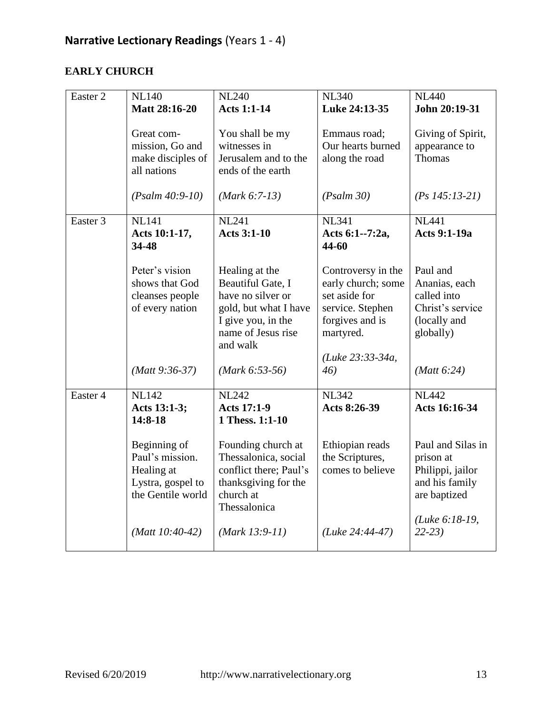#### **EARLY CHURCH**

| Easter 2 | <b>NL140</b>                                                                            | <b>NL240</b>                                                                                                                              | <b>NL340</b>                                                                                                  | <b>NL440</b>                                                                              |
|----------|-----------------------------------------------------------------------------------------|-------------------------------------------------------------------------------------------------------------------------------------------|---------------------------------------------------------------------------------------------------------------|-------------------------------------------------------------------------------------------|
|          | <b>Matt 28:16-20</b>                                                                    | <b>Acts 1:1-14</b>                                                                                                                        | Luke 24:13-35                                                                                                 | John 20:19-31                                                                             |
|          | Great com-<br>mission, Go and<br>make disciples of<br>all nations<br>$(Psalm 40:9-10)$  | You shall be my<br>witnesses in<br>Jerusalem and to the<br>ends of the earth<br>$(Mark 6:7-13)$                                           | Emmaus road;<br>Our hearts burned<br>along the road<br>(Psalm 30)                                             | Giving of Spirit,<br>appearance to<br>Thomas<br>$(Ps\ 145:13-21)$                         |
| Easter 3 | <b>NL141</b>                                                                            | <b>NL241</b>                                                                                                                              | <b>NL341</b>                                                                                                  | <b>NL441</b>                                                                              |
|          | Acts 10:1-17,<br>34-48                                                                  | <b>Acts 3:1-10</b>                                                                                                                        | Acts 6:1--7:2a,<br>44-60                                                                                      | <b>Acts 9:1-19a</b>                                                                       |
|          | Peter's vision<br>shows that God<br>cleanses people<br>of every nation                  | Healing at the<br>Beautiful Gate, I<br>have no silver or<br>gold, but what I have<br>I give you, in the<br>name of Jesus rise<br>and walk | Controversy in the<br>early church; some<br>set aside for<br>service. Stephen<br>forgives and is<br>martyred. | Paul and<br>Ananias, each<br>called into<br>Christ's service<br>(locally and<br>globally) |
|          | $(Matt 9:36-37)$                                                                        | $(Mark 6:53-56)$                                                                                                                          | (Luke 23:33-34a,<br>46)                                                                                       | (Matt 6:24)                                                                               |
| Easter 4 | <b>NL142</b><br>Acts 13:1-3;<br>14:8-18                                                 | <b>NL242</b><br><b>Acts 17:1-9</b><br>1 Thess. 1:1-10                                                                                     | <b>NL342</b><br>Acts 8:26-39                                                                                  | <b>NL442</b><br>Acts 16:16-34                                                             |
|          | Beginning of<br>Paul's mission.<br>Healing at<br>Lystra, gospel to<br>the Gentile world | Founding church at<br>Thessalonica, social<br>conflict there; Paul's<br>thanksgiving for the<br>church at<br>Thessalonica                 | Ethiopian reads<br>the Scriptures,<br>comes to believe                                                        | Paul and Silas in<br>prison at<br>Philippi, jailor<br>and his family<br>are baptized      |
|          | (Matt $10:40-42$ )                                                                      | $(Mark 13:9-11)$                                                                                                                          | $(Luke 24:44-47)$                                                                                             | (Luke 6:18-19,<br>$22-23$                                                                 |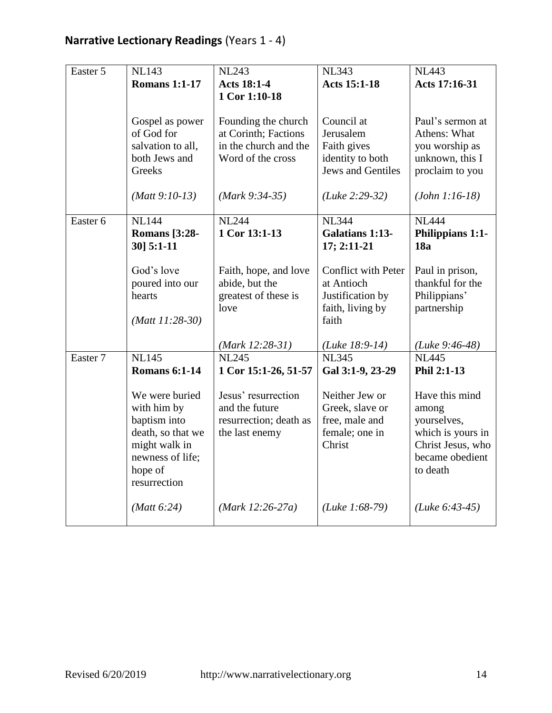| Easter 5 | <b>NL143</b>         | <b>NL243</b>           | <b>NL343</b>               | <b>NL443</b>      |
|----------|----------------------|------------------------|----------------------------|-------------------|
|          | <b>Romans 1:1-17</b> | <b>Acts 18:1-4</b>     | <b>Acts 15:1-18</b>        | Acts 17:16-31     |
|          |                      | 1 Cor 1:10-18          |                            |                   |
|          |                      |                        |                            |                   |
|          | Gospel as power      | Founding the church    | Council at                 | Paul's sermon at  |
|          | of God for           | at Corinth; Factions   | Jerusalem                  | Athens: What      |
|          | salvation to all,    | in the church and the  | Faith gives                | you worship as    |
|          | both Jews and        | Word of the cross      | identity to both           | unknown, this I   |
|          | Greeks               |                        | <b>Jews and Gentiles</b>   | proclaim to you   |
|          |                      |                        |                            |                   |
|          | $(Matt 9:10-13)$     | $(Mark 9:34-35)$       | $(Luke 2:29-32)$           | $(John 1:16-18)$  |
|          |                      |                        |                            |                   |
| Easter 6 | <b>NL144</b>         | <b>NL244</b>           | <b>NL344</b>               | <b>NL444</b>      |
|          | <b>Romans</b> [3:28- | 1 Cor 13:1-13          | <b>Galatians 1:13-</b>     | Philippians 1:1-  |
|          | 30] 5:1-11           |                        | 17; 2:11-21                | 18a               |
|          |                      |                        |                            |                   |
|          | God's love           | Faith, hope, and love  | <b>Conflict with Peter</b> | Paul in prison,   |
|          | poured into our      | abide, but the         | at Antioch                 | thankful for the  |
|          | hearts               | greatest of these is   | Justification by           | Philippians'      |
|          |                      | love                   | faith, living by           | partnership       |
|          | $(Matt 11:28-30)$    |                        | faith                      |                   |
|          |                      |                        |                            |                   |
|          |                      | $(Mark 12:28-31)$      | (Luke $18:9-14$ )          | (Luke $9:46-48$ ) |
| Easter 7 | <b>NL145</b>         | <b>NL245</b>           | <b>NL345</b>               | <b>NL445</b>      |
|          | <b>Romans 6:1-14</b> | 1 Cor 15:1-26, 51-57   | Gal 3:1-9, 23-29           | Phil 2:1-13       |
|          |                      |                        |                            |                   |
|          | We were buried       | Jesus' resurrection    | Neither Jew or             | Have this mind    |
|          | with him by          | and the future         | Greek, slave or            | among             |
|          | baptism into         | resurrection; death as | free, male and             | yourselves,       |
|          | death, so that we    | the last enemy         | female; one in             | which is yours in |
|          | might walk in        |                        | Christ                     | Christ Jesus, who |
|          | newness of life;     |                        |                            | became obedient   |
|          | hope of              |                        |                            | to death          |
|          | resurrection         |                        |                            |                   |
|          |                      |                        |                            |                   |
|          | (Matt 6:24)          | $(Mark 12:26-27a)$     | ( <i>Luke 1:68-79</i> )    | $(Luke 6:43-45)$  |
|          |                      |                        |                            |                   |